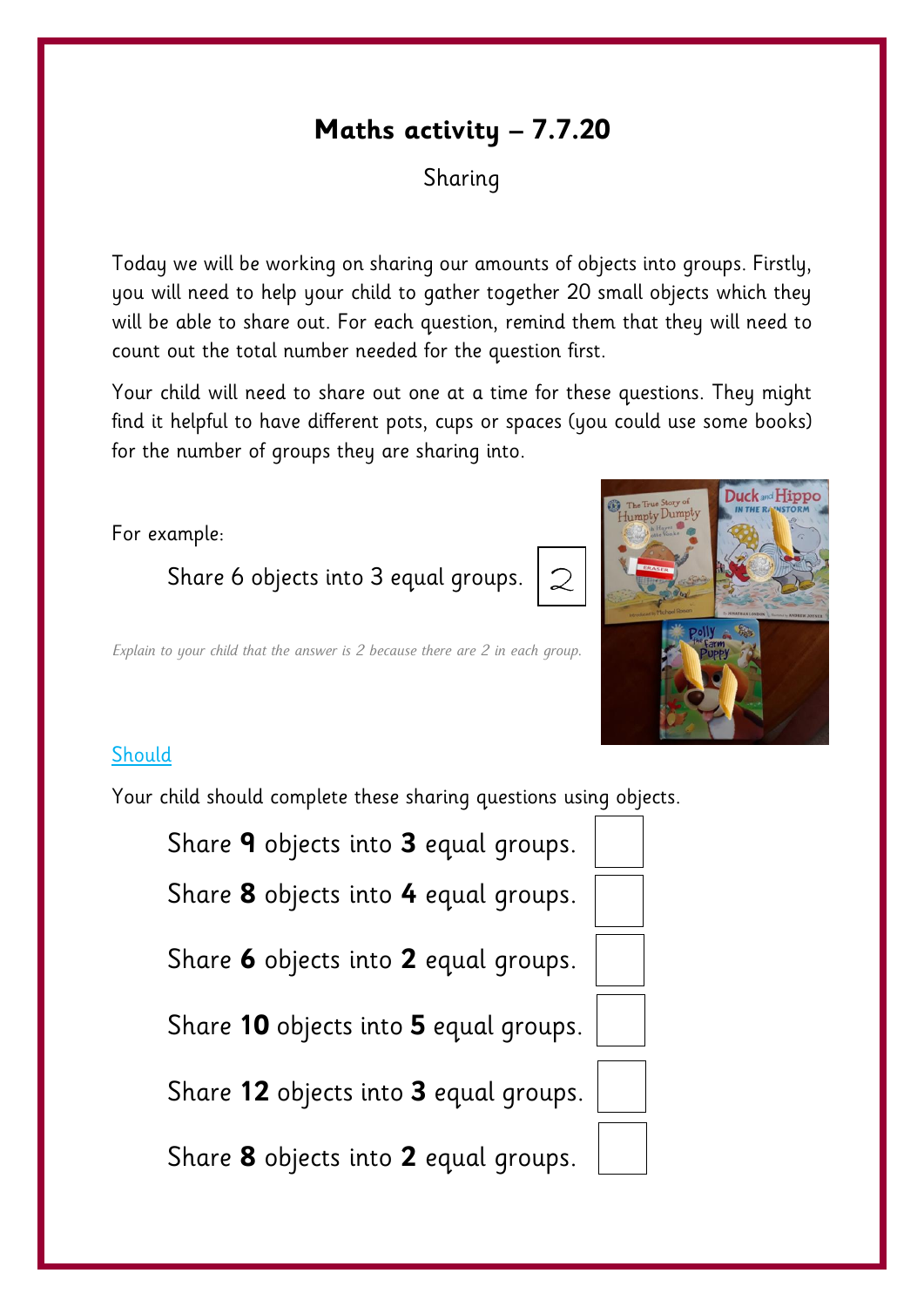# **Maths activity – 7.7.20**

## Sharing

Today we will be working on sharing our amounts of objects into groups. Firstly, you will need to help your child to gather together 20 small objects which they will be able to share out. For each question, remind them that they will need to count out the total number needed for the question first.

Your child will need to share out one at a time for these questions. They might find it helpful to have different pots, cups or spaces (you could use some books) for the number of groups they are sharing into.

2



#### For example:

Share 6 objects into 3 equal groups.

*Explain to your child that the answer is 2 because there are 2 in each group.*

#### **Should**

Your child should complete these sharing questions using objects.

Share **9** objects into **3** equal groups.

Share **8** objects into **4** equal groups.

Share **6** objects into **2** equal groups.

Share **10** objects into **5** equal groups.

Share **12** objects into **3** equal groups.

Share **8** objects into **2** equal groups.